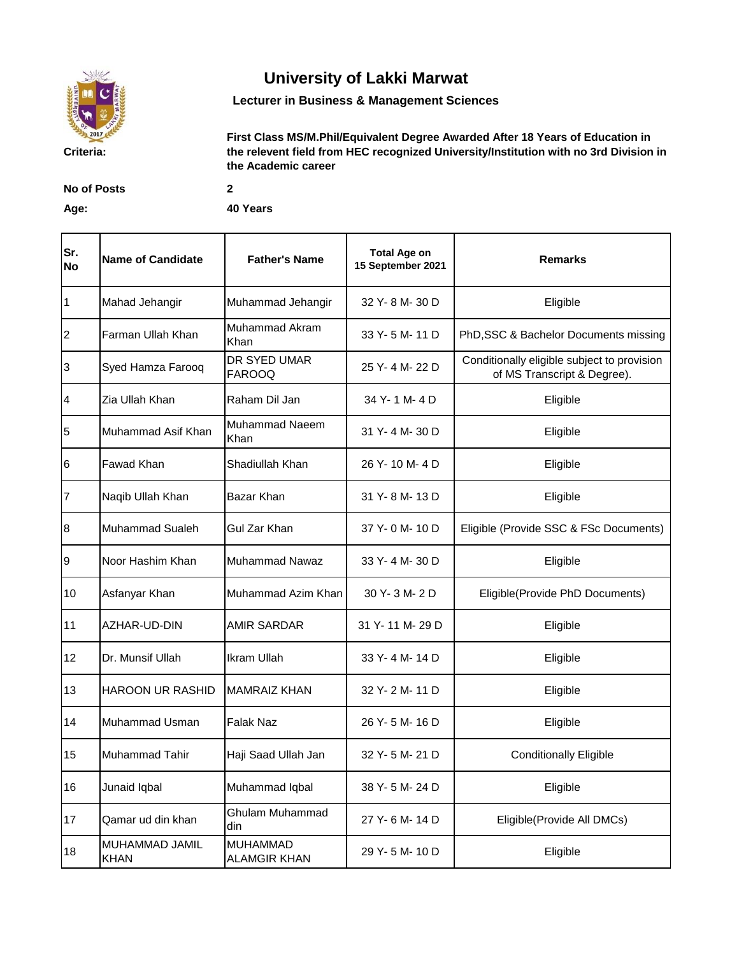

## **University of Lakki Marwat**

**Lecturer in Business & Management Sciences**

**First Class MS/M.Phil/Equivalent Degree Awarded After 18 Years of Education in the relevent field from HEC recognized University/Institution with no 3rd Division in the Academic career** 

**No of Posts 2**

**Age: 40 Years**

| Sr.<br><b>No</b> | <b>Name of Candidate</b>      | <b>Father's Name</b>                   | <b>Total Age on</b><br>15 September 2021 | <b>Remarks</b>                                                             |
|------------------|-------------------------------|----------------------------------------|------------------------------------------|----------------------------------------------------------------------------|
| $\vert$ 1        | Mahad Jehangir                | Muhammad Jehangir                      | 32 Y-8 M-30 D                            | Eligible                                                                   |
| $\overline{2}$   | Farman Ullah Khan             | <b>Muhammad Akram</b><br>Khan          | 33 Y-5 M-11 D                            | PhD, SSC & Bachelor Documents missing                                      |
| 3                | Syed Hamza Farooq             | DR SYED UMAR<br><b>FAROOQ</b>          | 25 Y-4 M-22 D                            | Conditionally eligible subject to provision<br>of MS Transcript & Degree). |
| 4                | Zia Ullah Khan                | Raham Dil Jan                          | 34 Y-1M-4D                               | Eligible                                                                   |
| 5                | Muhammad Asif Khan            | Muhammad Naeem<br>Khan                 | 31 Y-4 M-30 D                            | Eligible                                                                   |
| 6                | Fawad Khan                    | Shadiullah Khan                        | 26 Y-10 M-4 D                            | Eligible                                                                   |
| $\overline{7}$   | Naqib Ullah Khan              | Bazar Khan                             | 31 Y-8 M-13 D                            | Eligible                                                                   |
| $\bf{8}$         | <b>Muhammad Sualeh</b>        | Gul Zar Khan                           | 37 Y-0 M-10 D                            | Eligible (Provide SSC & FSc Documents)                                     |
| 9                | Noor Hashim Khan              | <b>Muhammad Nawaz</b>                  | 33 Y-4 M-30 D                            | Eligible                                                                   |
| 10               | Asfanyar Khan                 | Muhammad Azim Khan                     | 30 Y-3 M-2 D                             | Eligible(Provide PhD Documents)                                            |
| 11               | AZHAR-UD-DIN                  | <b>AMIR SARDAR</b>                     | 31 Y-11 M-29 D                           | Eligible                                                                   |
| 12               | Dr. Munsif Ullah              | <b>Ikram Ullah</b>                     | 33 Y-4 M-14 D                            | Eligible                                                                   |
| 13               | <b>HAROON UR RASHID</b>       | <b>MAMRAIZ KHAN</b>                    | 32 Y-2 M-11 D                            | Eligible                                                                   |
| 14               | <b>Muhammad Usman</b>         | <b>Falak Naz</b>                       | 26 Y-5 M-16 D                            | Eligible                                                                   |
| 15               | <b>Muhammad Tahir</b>         | Haji Saad Ullah Jan                    | 32 Y-5 M-21 D                            | <b>Conditionally Eligible</b>                                              |
| 16               | Junaid Iqbal                  | Muhammad Iqbal                         | 38 Y-5 M-24 D                            | Eligible                                                                   |
| 17               | Qamar ud din khan             | Ghulam Muhammad<br>din                 | 27 Y-6 M-14 D                            | Eligible(Provide All DMCs)                                                 |
| 18               | MUHAMMAD JAMIL<br><b>KHAN</b> | <b>MUHAMMAD</b><br><b>ALAMGIR KHAN</b> | 29 Y-5 M-10 D                            | Eligible                                                                   |